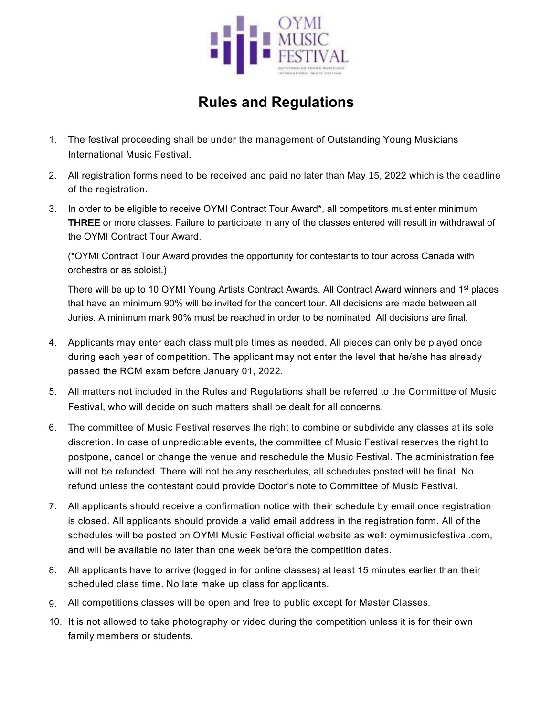

## **Rules and Regulations**

- 1. The festival proceeding shall be under the management of Outstanding Young Musicians International Music Festival.
- 2. All registration forms need to be received and paid no later than May 15, 2022 which is the deadline of the registration.
- 3. In order to be eligible to receive OYMI Contract Tour Award\*, all competitors must enter minimum THREE or more classes. Failure to participate in any of the classes entered will result in withdrawal of the OYMI Contract Tour Award.

(\*OYMI Contract Tour Award provides the opportunity for contestants to touracross Canada with orchestra or as soloist.)

There will be up to 10 OYMI Young Artists Contract Awards. All Contract Award winners and 1<sup>st</sup> places that have an minimum 90% will be invited for the concert tour. All decisions are made between all Juries. A minimum mark 90% must be reached in order to be nominated. All decisions are final.

- 4. Applicants may enter each class multiple times as needed. All pieces can only be played once during each year of competition. The applicant may not enter the level that he/she has already passed the RCM exam before January 01, 2022.
- 5. All matters not included in the Rules and Regulations shall be referred to the Committee of Music Festival, who will decide on such matters shall be dealt for all concerns.
- 6. The committee of Music Festival reserves the right to combine or subdivide any classes at its sole discretion. In case of unpredictable events, the committee of Music Festival reserves the right to postpone, cancel or change the venue and reschedule the Music Festival.The administration fee will not be refunded. There will not be any reschedules, all schedules posted will be final. No refund unless the contestant could provide Doctor's note to Committee of Music Festival.<br>7. All applicants should receive a confirmation notice with their schedule by email once registration
- is closed. All applicants should provide a valid email address in the registration form. All of the schedules will be posted on OYMI Music Festival official website as well: oymimusicfestival.com, and will be available no later than one week before the competition dates.
- 8. All applicants have to arrive (logged in for online classes) atleast 15 minutes earlier than their scheduled class time. No late make up class for applicants.
- 9. All competitions classes will be open and free to public except for Master Classes.
- 10. It is not allowed to take photography or video during the competition unless it is for their own family members or students.